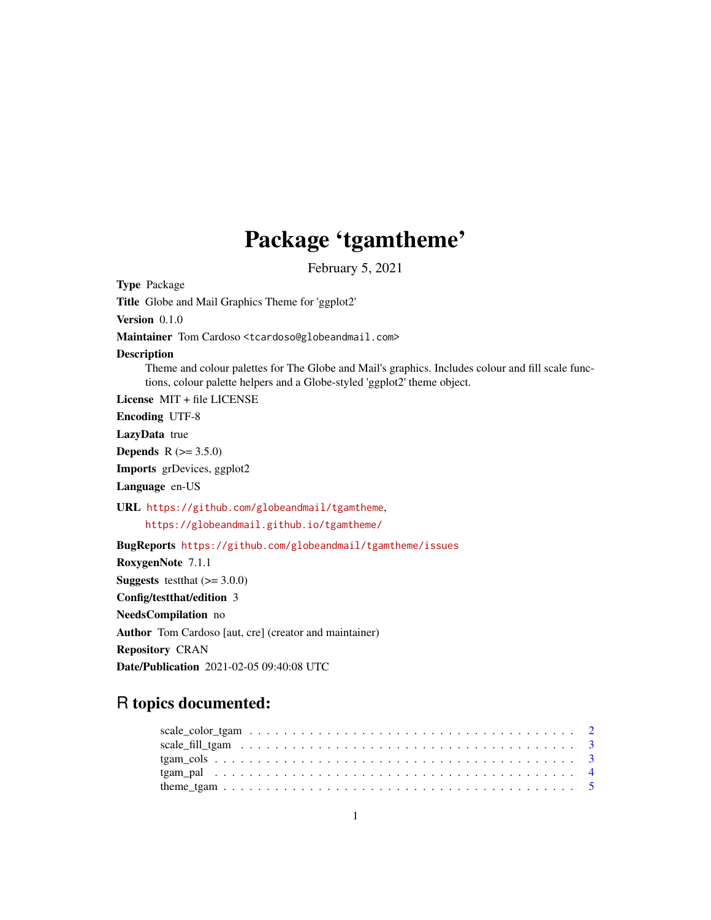# Package 'tgamtheme'

February 5, 2021

Type Package Title Globe and Mail Graphics Theme for 'ggplot2' Version 0.1.0 Maintainer Tom Cardoso <tcardoso@globeandmail.com> Description Theme and colour palettes for The Globe and Mail's graphics. Includes colour and fill scale functions, colour palette helpers and a Globe-styled 'ggplot2' theme object. License MIT + file LICENSE Encoding UTF-8 LazyData true **Depends** R  $(>= 3.5.0)$ Imports grDevices, ggplot2 Language en-US URL <https://github.com/globeandmail/tgamtheme>, <https://globeandmail.github.io/tgamtheme/> BugReports <https://github.com/globeandmail/tgamtheme/issues> RoxygenNote 7.1.1 **Suggests** test that  $(>= 3.0.0)$ Config/testthat/edition 3 NeedsCompilation no Author Tom Cardoso [aut, cre] (creator and maintainer) Repository CRAN Date/Publication 2021-02-05 09:40:08 UTC R topics documented: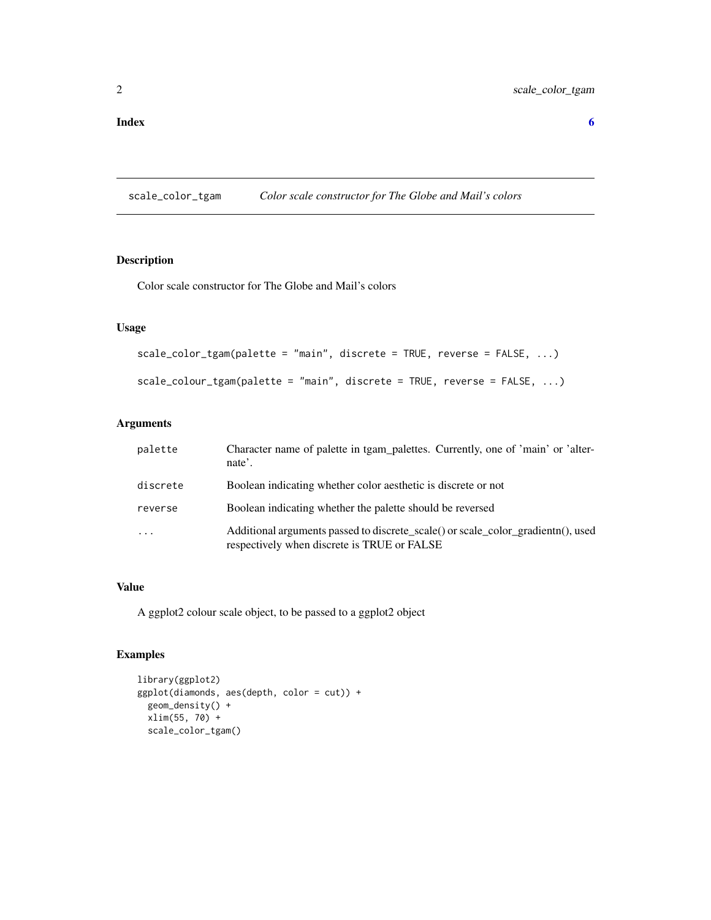<span id="page-1-0"></span>scale\_color\_tgam *Color scale constructor for The Globe and Mail's colors*

# Description

Color scale constructor for The Globe and Mail's colors

#### Usage

```
scale_color_tgam(palette = "main", discrete = TRUE, reverse = FALSE, ...)
scale_colour_tgam(palette = "main", discrete = TRUE, reverse = FALSE, ...)
```
# Arguments

| palette  | Character name of palette in tgam_palettes. Currently, one of 'main' or 'alter-<br>nate'.                                       |
|----------|---------------------------------------------------------------------------------------------------------------------------------|
| discrete | Boolean indicating whether color aesthetic is discrete or not                                                                   |
| reverse  | Boolean indicating whether the palette should be reversed                                                                       |
| $\cdots$ | Additional arguments passed to discrete_scale() or scale_color_gradientn(), used<br>respectively when discrete is TRUE or FALSE |

### Value

A ggplot2 colour scale object, to be passed to a ggplot2 object

# Examples

```
library(ggplot2)
ggplot(diamonds, aes(depth, color = cut)) +
  geom_density() +
  xlim(55, 70) +
  scale_color_tgam()
```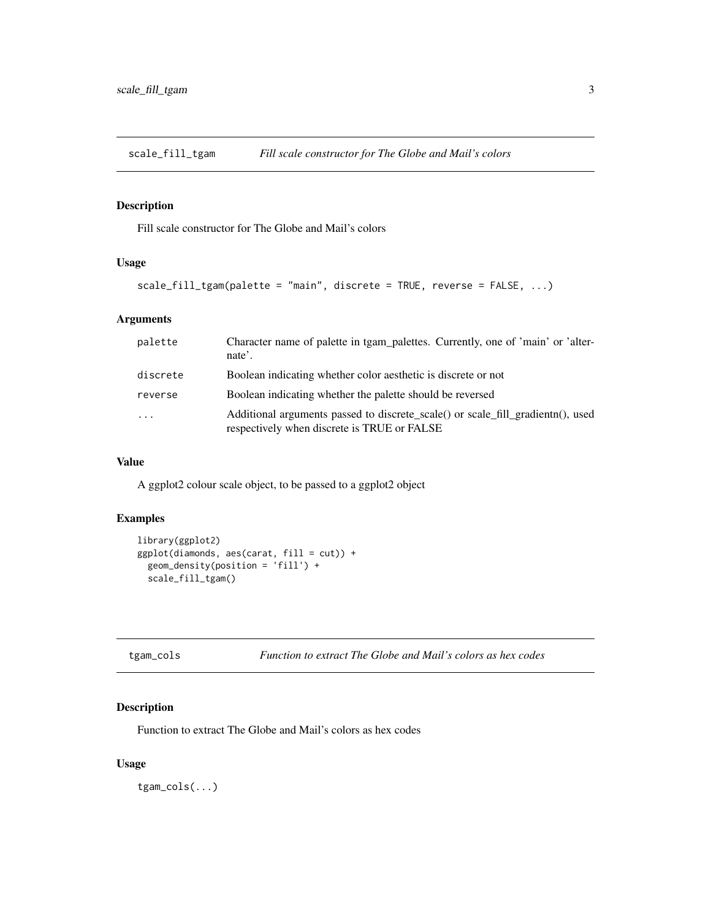<span id="page-2-0"></span>scale\_fill\_tgam *Fill scale constructor for The Globe and Mail's colors*

#### Description

Fill scale constructor for The Globe and Mail's colors

# Usage

```
scale_fill_tgam(palette = "main", discrete = TRUE, reverse = FALSE, ...)
```
# Arguments

| palette                 | Character name of palette in tgam_palettes. Currently, one of 'main' or 'alter-<br>nate'.                                       |
|-------------------------|---------------------------------------------------------------------------------------------------------------------------------|
| discrete                | Boolean indicating whether color aesthetic is discrete or not                                                                   |
| reverse                 | Boolean indicating whether the palette should be reversed                                                                       |
| $\cdot$ $\cdot$ $\cdot$ | Additional arguments passed to discrete scale() or scale fill gradient n(), used<br>respectively when discrete is TRUE or FALSE |

#### Value

A ggplot2 colour scale object, to be passed to a ggplot2 object

## Examples

```
library(ggplot2)
ggplot(diamonds, aes(carat, fill = cut)) +
  geom_density(position = 'fill') +
  scale_fill_tgam()
```

```
tgam_cols Function to extract The Globe and Mail's colors as hex codes
```
# Description

Function to extract The Globe and Mail's colors as hex codes

#### Usage

tgam\_cols(...)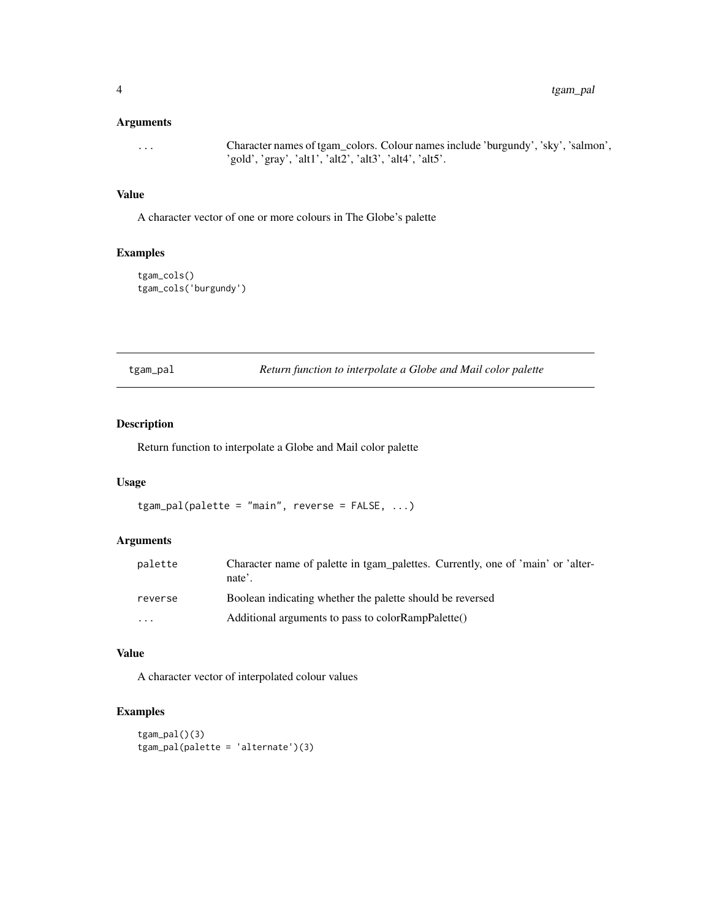#### <span id="page-3-0"></span>Arguments

... Character names of tgam\_colors. Colour names include 'burgundy', 'sky', 'salmon', 'gold', 'gray', 'alt1', 'alt2', 'alt3', 'alt4', 'alt5'.

#### Value

A character vector of one or more colours in The Globe's palette

# Examples

tgam\_cols() tgam\_cols('burgundy')

| tgam_pal |  |
|----------|--|
|          |  |
|          |  |

 $R$ eturn function to interpolate a Globe and Mail color palette

# Description

Return function to interpolate a Globe and Mail color palette

#### Usage

```
tgam_pal(palette = "main", reverse = FALSE, ...)
```
# Arguments

| palette                 | Character name of palette in tgam_palettes. Currently, one of 'main' or 'alter-<br>nate'. |
|-------------------------|-------------------------------------------------------------------------------------------|
| reverse                 | Boolean indicating whether the palette should be reversed                                 |
| $\cdot$ $\cdot$ $\cdot$ | Additional arguments to pass to colorRampPalette()                                        |

#### Value

A character vector of interpolated colour values

# Examples

```
tgam_pal()(3)
tgam_pal(palette = 'alternate')(3)
```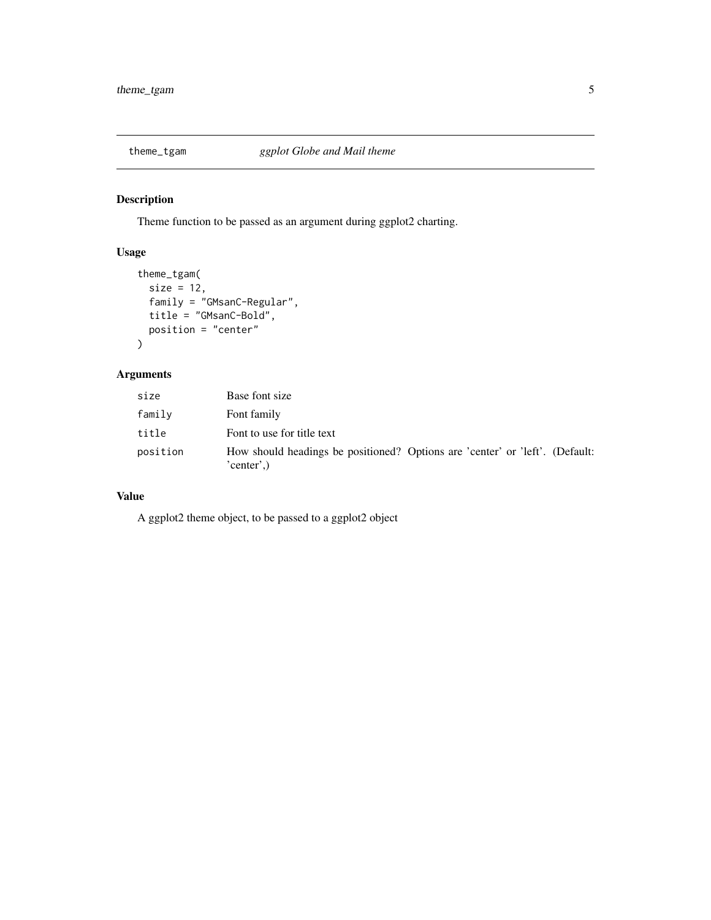<span id="page-4-0"></span>

# Description

Theme function to be passed as an argument during ggplot2 charting.

# Usage

```
theme_tgam(
  size = 12,
  family = "GMsanC-Regular",
  title = "GMsanC-Bold",
  position = "center"
\overline{\phantom{a}}
```
# Arguments

| size     | Base font size                                                                            |
|----------|-------------------------------------------------------------------------------------------|
| family   | Font family                                                                               |
| title    | Font to use for title text                                                                |
| position | How should headings be positioned? Options are 'center' or 'left'. (Default:<br>'center', |

# Value

A ggplot2 theme object, to be passed to a ggplot2 object